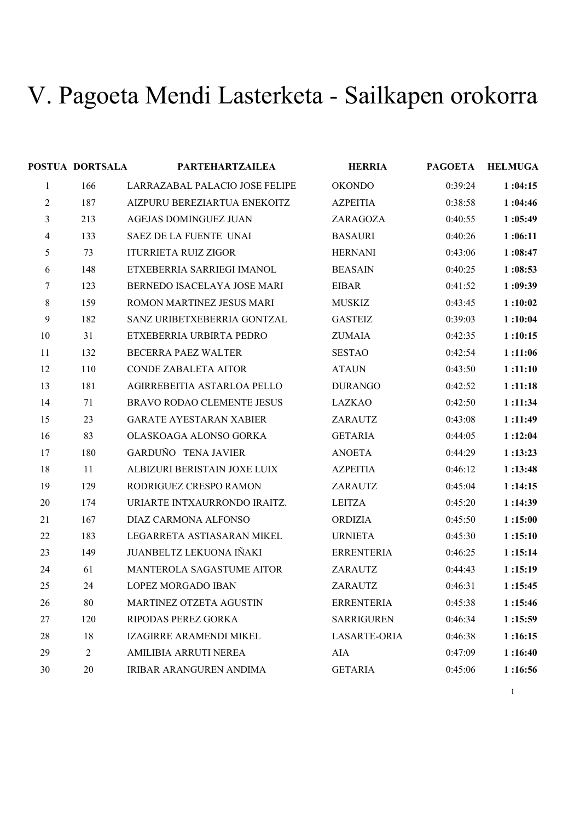## V. Pagoeta Mendi Lasterketa - Sailkapen orokorra

|                | POSTUA DORTSALA | <b>PARTEHARTZAILEA</b>         | <b>HERRIA</b>       | <b>PAGOETA</b> | <b>HELMUGA</b> |
|----------------|-----------------|--------------------------------|---------------------|----------------|----------------|
| $\mathbf{1}$   | 166             | LARRAZABAL PALACIO JOSE FELIPE | <b>OKONDO</b>       | 0:39:24        | 1:04:15        |
| 2              | 187             | AIZPURU BEREZIARTUA ENEKOITZ   | <b>AZPEITIA</b>     | 0:38:58        | 1:04:46        |
| 3              | 213             | <b>AGEJAS DOMINGUEZ JUAN</b>   | ZARAGOZA            | 0:40:55        | 1:05:49        |
| $\overline{4}$ | 133             | SAEZ DE LA FUENTE UNAI         | <b>BASAURI</b>      | 0:40:26        | 1:06:11        |
| 5              | 73              | <b>ITURRIETA RUIZ ZIGOR</b>    | <b>HERNANI</b>      | 0:43:06        | 1:08:47        |
| 6              | 148             | ETXEBERRIA SARRIEGI IMANOL     | <b>BEASAIN</b>      | 0:40:25        | 1:08:53        |
| 7              | 123             | BERNEDO ISACELAYA JOSE MARI    | <b>EIBAR</b>        | 0:41:52        | 1:09:39        |
| $8\,$          | 159             | ROMON MARTINEZ JESUS MARI      | <b>MUSKIZ</b>       | 0:43:45        | 1:10:02        |
| 9              | 182             | SANZ URIBETXEBERRIA GONTZAL    | <b>GASTEIZ</b>      | 0:39:03        | 1:10:04        |
| 10             | 31              | ETXEBERRIA URBIRTA PEDRO       | <b>ZUMAIA</b>       | 0:42:35        | 1:10:15        |
| 11             | 132             | BECERRA PAEZ WALTER            | <b>SESTAO</b>       | 0:42:54        | 1:11:06        |
| 12             | 110             | <b>CONDE ZABALETA AITOR</b>    | <b>ATAUN</b>        | 0:43:50        | 1:11:10        |
| 13             | 181             | AGIRREBEITIA ASTARLOA PELLO    | <b>DURANGO</b>      | 0:42:52        | 1:11:18        |
| 14             | 71              | BRAVO RODAO CLEMENTE JESUS     | <b>LAZKAO</b>       | 0:42:50        | 1:11:34        |
| 15             | 23              | <b>GARATE AYESTARAN XABIER</b> | ZARAUTZ             | 0:43:08        | 1:11:49        |
| 16             | 83              | OLASKOAGA ALONSO GORKA         | <b>GETARIA</b>      | 0:44:05        | 1:12:04        |
| 17             | 180             | GARDUÑO TENA JAVIER            | <b>ANOETA</b>       | 0:44:29        | 1:13:23        |
| 18             | 11              | ALBIZURI BERISTAIN JOXE LUIX   | <b>AZPEITIA</b>     | 0:46:12        | 1:13:48        |
| 19             | 129             | RODRIGUEZ CRESPO RAMON         | ZARAUTZ             | 0:45:04        | 1:14:15        |
| 20             | 174             | URIARTE INTXAURRONDO IRAITZ.   | <b>LEITZA</b>       | 0:45:20        | 1:14:39        |
| 21             | 167             | DIAZ CARMONA ALFONSO           | <b>ORDIZIA</b>      | 0:45:50        | 1:15:00        |
| 22             | 183             | LEGARRETA ASTIASARAN MIKEL     | <b>URNIETA</b>      | 0:45:30        | 1:15:10        |
| 23             | 149             | JUANBELTZ LEKUONA IÑAKI        | <b>ERRENTERIA</b>   | 0:46:25        | 1:15:14        |
| 24             | 61              | MANTEROLA SAGASTUME AITOR      | ZARAUTZ             | 0:44:43        | 1:15:19        |
| 25             | 24              | LOPEZ MORGADO IBAN             | ZARAUTZ             | 0:46:31        | 1:15:45        |
| 26             | 80              | MARTINEZ OTZETA AGUSTIN        | <b>ERRENTERIA</b>   | 0:45:38        | 1:15:46        |
| 27             | 120             | RIPODAS PEREZ GORKA            | <b>SARRIGUREN</b>   | 0:46:34        | 1:15:59        |
| 28             | 18              | IZAGIRRE ARAMENDI MIKEL        | <b>LASARTE-ORIA</b> | 0:46:38        | 1:16:15        |
| 29             | 2               | AMILIBIA ARRUTI NEREA          | AIA                 | 0:47:09        | 1:16:40        |
| 30             | 20              | IRIBAR ARANGUREN ANDIMA        | <b>GETARIA</b>      | 0:45:06        | 1:16:56        |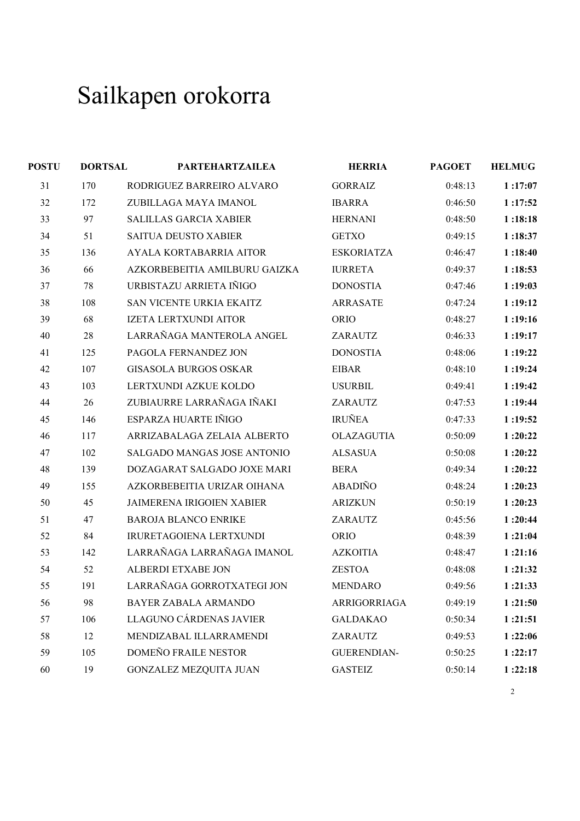| <b>POSTU</b> | <b>DORTSAL</b> | <b>PARTEHARTZAILEA</b>        | <b>HERRIA</b>      | <b>PAGOET</b> | <b>HELMUG</b> |
|--------------|----------------|-------------------------------|--------------------|---------------|---------------|
| 31           | 170            | RODRIGUEZ BARREIRO ALVARO     | <b>GORRAIZ</b>     | 0:48:13       | 1:17:07       |
| 32           | 172            | ZUBILLAGA MAYA IMANOL         | <b>IBARRA</b>      | 0:46:50       | 1:17:52       |
| 33           | 97             | <b>SALILLAS GARCIA XABIER</b> | <b>HERNANI</b>     | 0:48:50       | 1:18:18       |
| 34           | 51             | SAITUA DEUSTO XABIER          | <b>GETXO</b>       | 0:49:15       | 1:18:37       |
| 35           | 136            | AYALA KORTABARRIA AITOR       | <b>ESKORIATZA</b>  | 0:46:47       | 1:18:40       |
| 36           | 66             | AZKORBEBEITIA AMILBURU GAIZKA | <b>IURRETA</b>     | 0:49:37       | 1:18:53       |
| 37           | 78             | URBISTAZU ARRIETA IÑIGO       | <b>DONOSTIA</b>    | 0:47:46       | 1:19:03       |
| 38           | 108            | SAN VICENTE URKIA EKAITZ      | <b>ARRASATE</b>    | 0:47:24       | 1:19:12       |
| 39           | 68             | IZETA LERTXUNDI AITOR         | <b>ORIO</b>        | 0:48:27       | 1:19:16       |
| 40           | 28             | LARRAÑAGA MANTEROLA ANGEL     | ZARAUTZ            | 0:46:33       | 1:19:17       |
| 41           | 125            | PAGOLA FERNANDEZ JON          | <b>DONOSTIA</b>    | 0:48:06       | 1:19:22       |
| 42           | 107            | <b>GISASOLA BURGOS OSKAR</b>  | <b>EIBAR</b>       | 0:48:10       | 1:19:24       |
| 43           | 103            | LERTXUNDI AZKUE KOLDO         | <b>USURBIL</b>     | 0:49:41       | 1:19:42       |
| 44           | 26             | ZUBIAURRE LARRAÑAGA IÑAKI     | ZARAUTZ            | 0:47:53       | 1:19:44       |
| 45           | 146            | ESPARZA HUARTE IÑIGO          | <b>IRUÑEA</b>      | 0:47:33       | 1:19:52       |
| 46           | 117            | ARRIZABALAGA ZELAIA ALBERTO   | OLAZAGUTIA         | 0:50:09       | 1:20:22       |
| 47           | 102            | SALGADO MANGAS JOSE ANTONIO   | <b>ALSASUA</b>     | 0:50:08       | 1:20:22       |
| 48           | 139            | DOZAGARAT SALGADO JOXE MARI   | <b>BERA</b>        | 0:49:34       | 1:20:22       |
| 49           | 155            | AZKORBEBEITIA URIZAR OIHANA   | <b>ABADIÑO</b>     | 0:48:24       | 1:20:23       |
| 50           | 45             | JAIMERENA IRIGOIEN XABIER     | <b>ARIZKUN</b>     | 0:50:19       | 1:20:23       |
| 51           | 47             | <b>BAROJA BLANCO ENRIKE</b>   | ZARAUTZ            | 0:45:56       | 1:20:44       |
| 52           | 84             | IRURETAGOIENA LERTXUNDI       | <b>ORIO</b>        | 0:48:39       | 1:21:04       |
| 53           | 142            | LARRAÑAGA LARRAÑAGA IMANOL    | <b>AZKOITIA</b>    | 0:48:47       | 1:21:16       |
| 54           | 52             | ALBERDI ETXABE JON            | <b>ZESTOA</b>      | 0:48:08       | 1:21:32       |
| 55           | 191            | LARRAÑAGA GORROTXATEGI JON    | <b>MENDARO</b>     | 0:49:56       | 1:21:33       |
| 56           | 98             | BAYER ZABALA ARMANDO          | ARRIGORRIAGA       | 0:49:19       | 1:21:50       |
| 57           | 106            | LLAGUNO CÁRDENAS JAVIER       | <b>GALDAKAO</b>    | 0:50:34       | 1:21:51       |
| 58           | 12             | MENDIZABAL ILLARRAMENDI       | ZARAUTZ            | 0:49:53       | 1:22:06       |
| 59           | 105            | DOMEÑO FRAILE NESTOR          | <b>GUERENDIAN-</b> | 0:50:25       | 1:22:17       |
| 60           | 19             | <b>GONZALEZ MEZQUITA JUAN</b> | <b>GASTEIZ</b>     | 0:50:14       | 1:22:18       |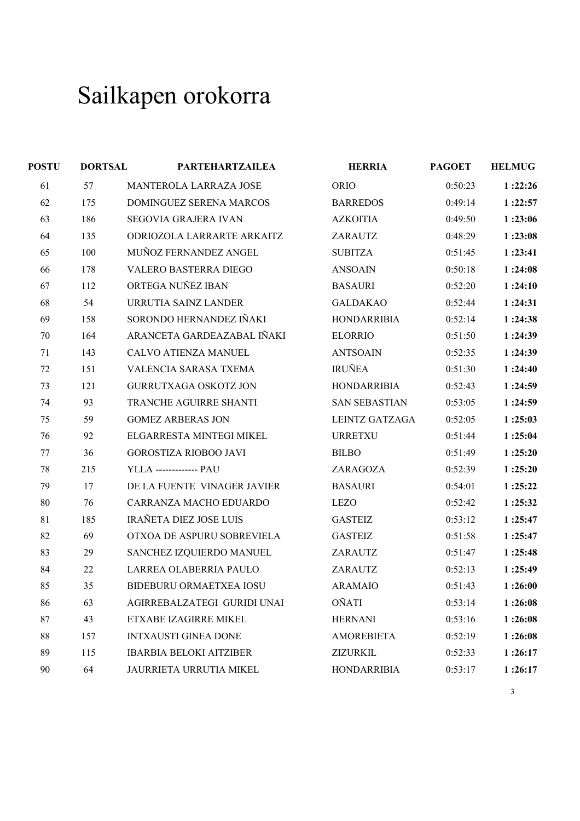| <b>POSTU</b> | <b>DORTSAL</b> | <b>PARTEHARTZAILEA</b>         | <b>HERRIA</b>        | <b>PAGOET</b> | <b>HELMUG</b> |
|--------------|----------------|--------------------------------|----------------------|---------------|---------------|
| 61           | 57             | MANTEROLA LARRAZA JOSE         | <b>ORIO</b>          | 0:50:23       | 1:22:26       |
| 62           | 175            | DOMINGUEZ SERENA MARCOS        | <b>BARREDOS</b>      | 0:49:14       | 1:22:57       |
| 63           | 186            | SEGOVIA GRAJERA IVAN           | <b>AZKOITIA</b>      | 0:49:50       | 1:23:06       |
| 64           | 135            | ODRIOZOLA LARRARTE ARKAITZ     | ZARAUTZ              | 0:48:29       | 1:23:08       |
| 65           | 100            | MUÑOZ FERNANDEZ ANGEL          | <b>SUBITZA</b>       | 0:51:45       | 1:23:41       |
| 66           | 178            | <b>VALERO BASTERRA DIEGO</b>   | <b>ANSOAIN</b>       | 0:50:18       | 1:24:08       |
| 67           | 112            | ORTEGA NUÑEZ IBAN              | <b>BASAURI</b>       | 0:52:20       | 1:24:10       |
| 68           | 54             | URRUTIA SAINZ LANDER           | <b>GALDAKAO</b>      | 0:52:44       | 1:24:31       |
| 69           | 158            | SORONDO HERNANDEZ IÑAKI        | <b>HONDARRIBIA</b>   | 0:52:14       | 1:24:38       |
| 70           | 164            | ARANCETA GARDEAZABAL IÑAKI     | <b>ELORRIO</b>       | 0:51:50       | 1:24:39       |
| 71           | 143            | CALVO ATIENZA MANUEL           | <b>ANTSOAIN</b>      | 0:52:35       | 1:24:39       |
| 72           | 151            | VALENCIA SARASA TXEMA          | <b>IRUÑEA</b>        | 0:51:30       | 1:24:40       |
| 73           | 121            | <b>GURRUTXAGA OSKOTZ JON</b>   | <b>HONDARRIBIA</b>   | 0:52:43       | 1:24:59       |
| 74           | 93             | TRANCHE AGUIRRE SHANTI         | <b>SAN SEBASTIAN</b> | 0:53:05       | 1:24:59       |
| 75           | 59             | <b>GOMEZ ARBERAS JON</b>       | LEINTZ GATZAGA       | 0:52:05       | 1:25:03       |
| 76           | 92             | ELGARRESTA MINTEGI MIKEL       | <b>URRETXU</b>       | 0:51:44       | 1:25:04       |
| 77           | 36             | <b>GOROSTIZA RIOBOO JAVI</b>   | <b>BILBO</b>         | 0:51:49       | 1:25:20       |
| 78           | 215            | <b>YLLA</b> ------------- PAU  | ZARAGOZA             | 0:52:39       | 1:25:20       |
| 79           | 17             | DE LA FUENTE VINAGER JAVIER    | <b>BASAURI</b>       | 0:54:01       | 1:25:22       |
| 80           | 76             | CARRANZA MACHO EDUARDO         | <b>LEZO</b>          | 0:52:42       | 1:25:32       |
| 81           | 185            | <b>IRAÑETA DIEZ JOSE LUIS</b>  | <b>GASTEIZ</b>       | 0:53:12       | 1:25:47       |
| 82           | 69             | OTXOA DE ASPURU SOBREVIELA     | <b>GASTEIZ</b>       | 0:51:58       | 1:25:47       |
| 83           | 29             | SANCHEZ IZQUIERDO MANUEL       | ZARAUTZ              | 0:51:47       | 1:25:48       |
| 84           | 22             | LARREA OLABERRIA PAULO         | ZARAUTZ              | 0:52:13       | 1:25:49       |
| 85           | 35             | <b>BIDEBURU ORMAETXEA IOSU</b> | <b>ARAMAIO</b>       | 0:51:43       | 1:26:00       |
| 86           | 63             | AGIRREBALZATEGI GURIDI UNAI    | <b>OÑATI</b>         | 0:53:14       | 1:26:08       |
| 87           | 43             | ETXABE IZAGIRRE MIKEL          | <b>HERNANI</b>       | 0:53:16       | 1:26:08       |
| 88           | 157            | <b>INTXAUSTI GINEA DONE</b>    | <b>AMOREBIETA</b>    | 0:52:19       | 1:26:08       |
| 89           | 115            | <b>IBARBIA BELOKI AITZIBER</b> | ZIZURKIL             | 0:52:33       | 1:26:17       |
| 90           | 64             | JAURRIETA URRUTIA MIKEL        | <b>HONDARRIBIA</b>   | 0:53:17       | 1:26:17       |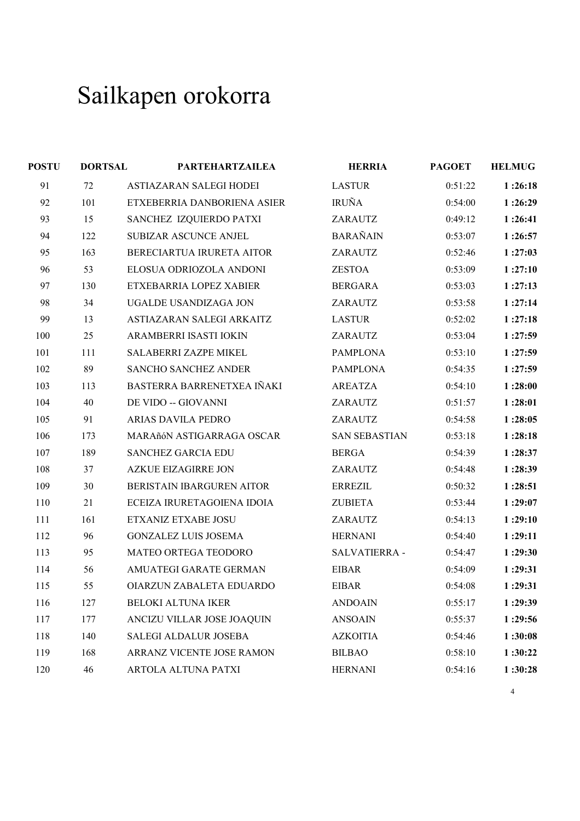| <b>POSTU</b> | <b>DORTSAL</b> | <b>PARTEHARTZAILEA</b>      | <b>HERRIA</b>        | <b>PAGOET</b> | <b>HELMUG</b> |
|--------------|----------------|-----------------------------|----------------------|---------------|---------------|
| 91           | 72             | ASTIAZARAN SALEGI HODEI     | <b>LASTUR</b>        | 0:51:22       | 1:26:18       |
| 92           | 101            | ETXEBERRIA DANBORIENA ASIER | <b>IRUÑA</b>         | 0:54:00       | 1:26:29       |
| 93           | 15             | SANCHEZ IZQUIERDO PATXI     | ZARAUTZ              | 0:49:12       | 1:26:41       |
| 94           | 122            | SUBIZAR ASCUNCE ANJEL       | <b>BARAÑAIN</b>      | 0:53:07       | 1:26:57       |
| 95           | 163            | BERECIARTUA IRURETA AITOR   | ZARAUTZ              | 0:52:46       | 1:27:03       |
| 96           | 53             | ELOSUA ODRIOZOLA ANDONI     | <b>ZESTOA</b>        | 0:53:09       | 1:27:10       |
| 97           | 130            | ETXEBARRIA LOPEZ XABIER     | <b>BERGARA</b>       | 0:53:03       | 1:27:13       |
| 98           | 34             | UGALDE USANDIZAGA JON       | ZARAUTZ              | 0:53:58       | 1:27:14       |
| 99           | 13             | ASTIAZARAN SALEGI ARKAITZ   | <b>LASTUR</b>        | 0:52:02       | 1:27:18       |
| 100          | 25             | ARAMBERRI ISASTI IOKIN      | ZARAUTZ              | 0:53:04       | 1:27:59       |
| 101          | 111            | SALABERRI ZAZPE MIKEL       | <b>PAMPLONA</b>      | 0:53:10       | 1:27:59       |
| 102          | 89             | SANCHO SANCHEZ ANDER        | <b>PAMPLONA</b>      | 0:54:35       | 1:27:59       |
| 103          | 113            | BASTERRA BARRENETXEA IÑAKI  | <b>AREATZA</b>       | 0:54:10       | 1:28:00       |
| 104          | 40             | DE VIDO -- GIOVANNI         | ZARAUTZ              | 0:51:57       | 1:28:01       |
| 105          | 91             | ARIAS DAVILA PEDRO          | ZARAUTZ              | 0:54:58       | 1:28:05       |
| 106          | 173            | MARAñóN ASTIGARRAGA OSCAR   | <b>SAN SEBASTIAN</b> | 0:53:18       | 1:28:18       |
| 107          | 189            | <b>SANCHEZ GARCIA EDU</b>   | <b>BERGA</b>         | 0:54:39       | 1:28:37       |
| 108          | 37             | <b>AZKUE EIZAGIRRE JON</b>  | ZARAUTZ              | 0:54:48       | 1:28:39       |
| 109          | 30             | BERISTAIN IBARGUREN AITOR   | <b>ERREZIL</b>       | 0:50:32       | 1:28:51       |
| 110          | 21             | ECEIZA IRURETAGOIENA IDOIA  | <b>ZUBIETA</b>       | 0:53:44       | 1:29:07       |
| 111          | 161            | ETXANIZ ETXABE JOSU         | ZARAUTZ              | 0:54:13       | 1:29:10       |
| 112          | 96             | <b>GONZALEZ LUIS JOSEMA</b> | <b>HERNANI</b>       | 0:54:40       | 1:29:11       |
| 113          | 95             | MATEO ORTEGA TEODORO        | SALVATIERRA -        | 0:54:47       | 1:29:30       |
| 114          | 56             | AMUATEGI GARATE GERMAN      | <b>EIBAR</b>         | 0:54:09       | 1:29:31       |
| 115          | 55             | OIARZUN ZABALETA EDUARDO    | <b>EIBAR</b>         | 0:54:08       | 1:29:31       |
| 116          | 127            | <b>BELOKI ALTUNA IKER</b>   | <b>ANDOAIN</b>       | 0:55:17       | 1:29:39       |
| 117          | 177            | ANCIZU VILLAR JOSE JOAQUIN  | <b>ANSOAIN</b>       | 0:55:37       | 1:29:56       |
| 118          | 140            | SALEGI ALDALUR JOSEBA       | <b>AZKOITIA</b>      | 0:54:46       | 1:30:08       |
| 119          | 168            | ARRANZ VICENTE JOSE RAMON   | <b>BILBAO</b>        | 0:58:10       | 1:30:22       |
| 120          | 46             | ARTOLA ALTUNA PATXI         | <b>HERNANI</b>       | 0:54:16       | 1:30:28       |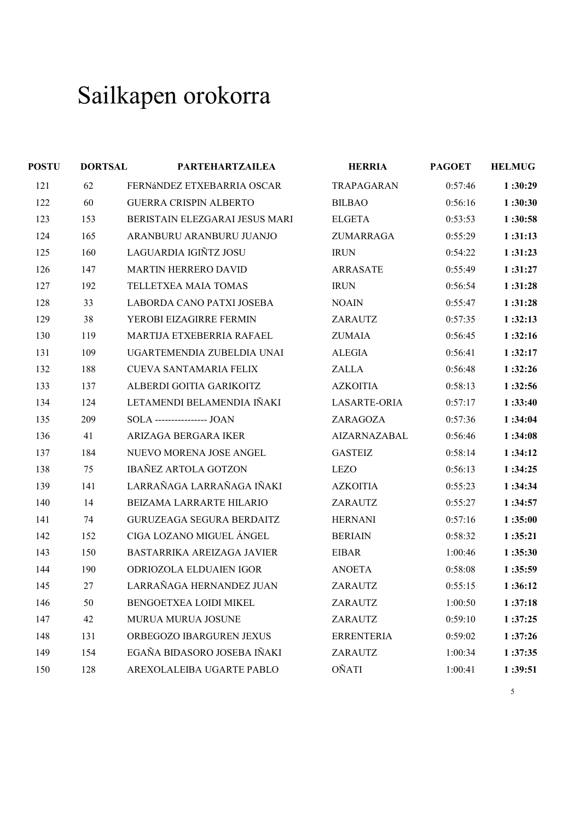| <b>POSTU</b> | <b>DORTSAL</b> | <b>PARTEHARTZAILEA</b>           | <b>HERRIA</b>       | <b>PAGOET</b> | <b>HELMUG</b> |
|--------------|----------------|----------------------------------|---------------------|---------------|---------------|
| 121          | 62             | FERNÁNDEZ ETXEBARRIA OSCAR       | TRAPAGARAN          | 0:57:46       | 1:30:29       |
| 122          | 60             | <b>GUERRA CRISPIN ALBERTO</b>    | <b>BILBAO</b>       | 0:56:16       | 1:30:30       |
| 123          | 153            | BERISTAIN ELEZGARAI JESUS MARI   | <b>ELGETA</b>       | 0:53:53       | 1:30:58       |
| 124          | 165            | ARANBURU ARANBURU JUANJO         | ZUMARRAGA           | 0:55:29       | 1:31:13       |
| 125          | 160            | LAGUARDIA IGIÑTZ JOSU            | <b>IRUN</b>         | 0:54:22       | 1:31:23       |
| 126          | 147            | <b>MARTIN HERRERO DAVID</b>      | ARRASATE            | 0:55:49       | 1:31:27       |
| 127          | 192            | TELLETXEA MAIA TOMAS             | <b>IRUN</b>         | 0:56:54       | 1:31:28       |
| 128          | 33             | LABORDA CANO PATXI JOSEBA        | <b>NOAIN</b>        | 0:55:47       | 1:31:28       |
| 129          | 38             | YEROBI EIZAGIRRE FERMIN          | ZARAUTZ             | 0:57:35       | 1:32:13       |
| 130          | 119            | MARTIJA ETXEBERRIA RAFAEL        | ZUMAIA              | 0:56:45       | 1:32:16       |
| 131          | 109            | UGARTEMENDIA ZUBELDIA UNAI       | <b>ALEGIA</b>       | 0:56:41       | 1:32:17       |
| 132          | 188            | <b>CUEVA SANTAMARIA FELIX</b>    | ZALLA               | 0:56:48       | 1:32:26       |
| 133          | 137            | ALBERDI GOITIA GARIKOITZ         | <b>AZKOITIA</b>     | 0:58:13       | 1:32:56       |
| 134          | 124            | LETAMENDI BELAMENDIA IÑAKI       | <b>LASARTE-ORIA</b> | 0:57:17       | 1:33:40       |
| 135          | 209            | SOLA ---------------- JOAN       | ZARAGOZA            | 0:57:36       | 1:34:04       |
| 136          | 41             | ARIZAGA BERGARA IKER             | AIZARNAZABAL        | 0:56:46       | 1:34:08       |
| 137          | 184            | NUEVO MORENA JOSE ANGEL          | <b>GASTEIZ</b>      | 0:58:14       | 1:34:12       |
| 138          | 75             | <b>IBAÑEZ ARTOLA GOTZON</b>      | <b>LEZO</b>         | 0:56:13       | 1:34:25       |
| 139          | 141            | LARRAÑAGA LARRAÑAGA IÑAKI        | <b>AZKOITIA</b>     | 0:55:23       | 1:34:34       |
| 140          | 14             | BEIZAMA LARRARTE HILARIO         | ZARAUTZ             | 0:55:27       | 1:34:57       |
| 141          | 74             | <b>GURUZEAGA SEGURA BERDAITZ</b> | <b>HERNANI</b>      | 0:57:16       | 1:35:00       |
| 142          | 152            | CIGA LOZANO MIGUEL ÁNGEL         | <b>BERIAIN</b>      | 0:58:32       | 1:35:21       |
| 143          | 150            | BASTARRIKA AREIZAGA JAVIER       | <b>EIBAR</b>        | 1:00:46       | 1:35:30       |
| 144          | 190            | <b>ODRIOZOLA ELDUAIEN IGOR</b>   | <b>ANOETA</b>       | 0:58:08       | 1:35:59       |
| 145          | 27             | LARRAÑAGA HERNANDEZ JUAN         | ZARAUTZ             | 0:55:15       | 1:36:12       |
| 146          | 50             | BENGOETXEA LOIDI MIKEL           | ZARAUTZ             | 1:00:50       | 1:37:18       |
| 147          | 42             | MURUA MURUA JOSUNE               | ZARAUTZ             | 0:59:10       | 1:37:25       |
| 148          | 131            | ORBEGOZO IBARGUREN JEXUS         | <b>ERRENTERIA</b>   | 0:59:02       | 1:37:26       |
| 149          | 154            | EGAÑA BIDASORO JOSEBA IÑAKI      | ZARAUTZ             | 1:00:34       | 1:37:35       |
| 150          | 128            | AREXOLALEIBA UGARTE PABLO        | <b>OÑATI</b>        | 1:00:41       | 1:39:51       |
|              |                |                                  |                     |               |               |